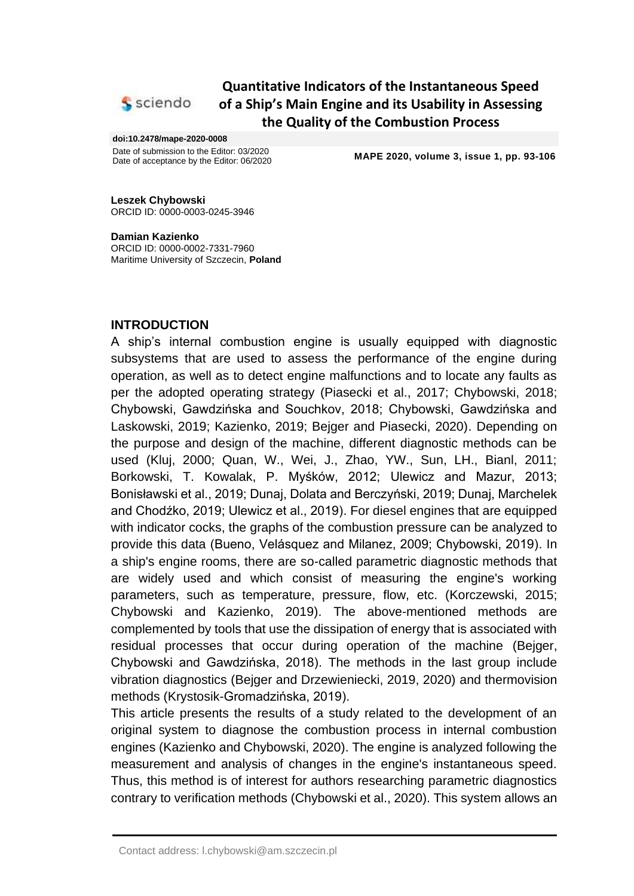

# **Quantitative Indicators of the Instantaneous Speed of a Ship's Main Engine and its Usability in Assessing the Quality of the Combustion Process**

#### **doi:10.2478/mape-2020-0008**

Date of submission to the Editor: 03/2020<br>Date of acceptance by the Editor: 06/2020

MAPE 2020, volume 3, issue 1, pp. 93-106

**Leszek Chybowski** ORCID ID: 0000-0003-0245-3946

**Damian Kazienko** ORCID ID: 0000-0002-7331-7960 Maritime University of Szczecin, **Poland**

## **INTRODUCTION**

A ship's internal combustion engine is usually equipped with diagnostic subsystems that are used to assess the performance of the engine during operation, as well as to detect engine malfunctions and to locate any faults as per the adopted operating strategy (Piasecki et al., 2017; Chybowski, 2018; Chybowski, Gawdzińska and Souchkov, 2018; Chybowski, Gawdzińska and Laskowski, 2019; Kazienko, 2019; Bejger and Piasecki, 2020). Depending on the purpose and design of the machine, different diagnostic methods can be used (Kluj, 2000; Quan, W., Wei, J., Zhao, YW., Sun, LH., Bianl, 2011; Borkowski, T. Kowalak, P. Myśków, 2012; Ulewicz and Mazur, 2013; Bonisławski et al., 2019; Dunaj, Dolata and Berczyński, 2019; Dunaj, Marchelek and Chodźko, 2019; Ulewicz et al., 2019). For diesel engines that are equipped with indicator cocks, the graphs of the combustion pressure can be analyzed to provide this data (Bueno, Velásquez and Milanez, 2009; Chybowski, 2019). In a ship's engine rooms, there are so-called parametric diagnostic methods that are widely used and which consist of measuring the engine's working parameters, such as temperature, pressure, flow, etc. (Korczewski, 2015; Chybowski and Kazienko, 2019). The above-mentioned methods are complemented by tools that use the dissipation of energy that is associated with residual processes that occur during operation of the machine (Bejger, Chybowski and Gawdzińska, 2018). The methods in the last group include vibration diagnostics (Bejger and Drzewieniecki, 2019, 2020) and thermovision methods (Krystosik-Gromadzińska, 2019).

This article presents the results of a study related to the development of an original system to diagnose the combustion process in internal combustion engines (Kazienko and Chybowski, 2020). The engine is analyzed following the measurement and analysis of changes in the engine's instantaneous speed. Thus, this method is of interest for authors researching parametric diagnostics contrary to verification methods (Chybowski et al., 2020). This system allows an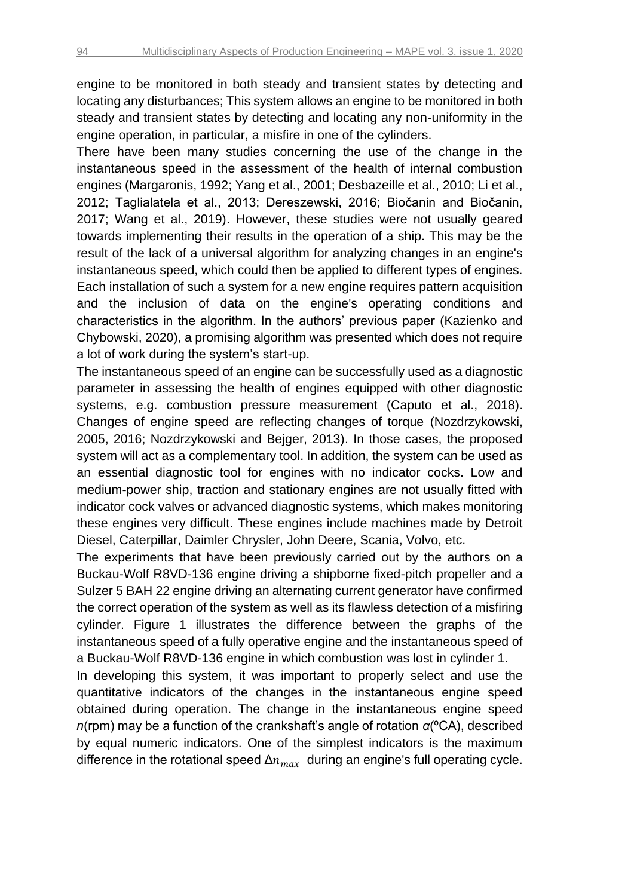engine to be monitored in both steady and transient states by detecting and locating any disturbances; This system allows an engine to be monitored in both steady and transient states by detecting and locating any non-uniformity in the engine operation, in particular, a misfire in one of the cylinders.

There have been many studies concerning the use of the change in the instantaneous speed in the assessment of the health of internal combustion engines (Margaronis, 1992; Yang et al., 2001; Desbazeille et al., 2010; Li et al., 2012; Taglialatela et al., 2013; Dereszewski, 2016; Biočanin and Biočanin, 2017; Wang et al., 2019). However, these studies were not usually geared towards implementing their results in the operation of a ship. This may be the result of the lack of a universal algorithm for analyzing changes in an engine's instantaneous speed, which could then be applied to different types of engines. Each installation of such a system for a new engine requires pattern acquisition and the inclusion of data on the engine's operating conditions and characteristics in the algorithm. In the authors' previous paper (Kazienko and Chybowski, 2020), a promising algorithm was presented which does not require a lot of work during the system's start-up.

The instantaneous speed of an engine can be successfully used as a diagnostic parameter in assessing the health of engines equipped with other diagnostic systems, e.g. combustion pressure measurement (Caputo et al., 2018). Changes of engine speed are reflecting changes of torque (Nozdrzykowski, 2005, 2016; Nozdrzykowski and Bejger, 2013). In those cases, the proposed system will act as a complementary tool. In addition, the system can be used as an essential diagnostic tool for engines with no indicator cocks. Low and medium-power ship, traction and stationary engines are not usually fitted with indicator cock valves or advanced diagnostic systems, which makes monitoring these engines very difficult. These engines include machines made by Detroit Diesel, Caterpillar, Daimler Chrysler, John Deere, Scania, Volvo, etc.

The experiments that have been previously carried out by the authors on a Buckau-Wolf R8VD-136 engine driving a shipborne fixed-pitch propeller and a Sulzer 5 BAH 22 engine driving an alternating current generator have confirmed the correct operation of the system as well as its flawless detection of a misfiring cylinder. Figure 1 illustrates the difference between the graphs of the instantaneous speed of a fully operative engine and the instantaneous speed of a Buckau-Wolf R8VD-136 engine in which combustion was lost in cylinder 1.

In developing this system, it was important to properly select and use the quantitative indicators of the changes in the instantaneous engine speed obtained during operation. The change in the instantaneous engine speed *n*(rpm) may be a function of the crankshaft's angle of rotation *α*(ºCA), described by equal numeric indicators. One of the simplest indicators is the maximum difference in the rotational speed  $\Delta n_{max}$  during an engine's full operating cycle.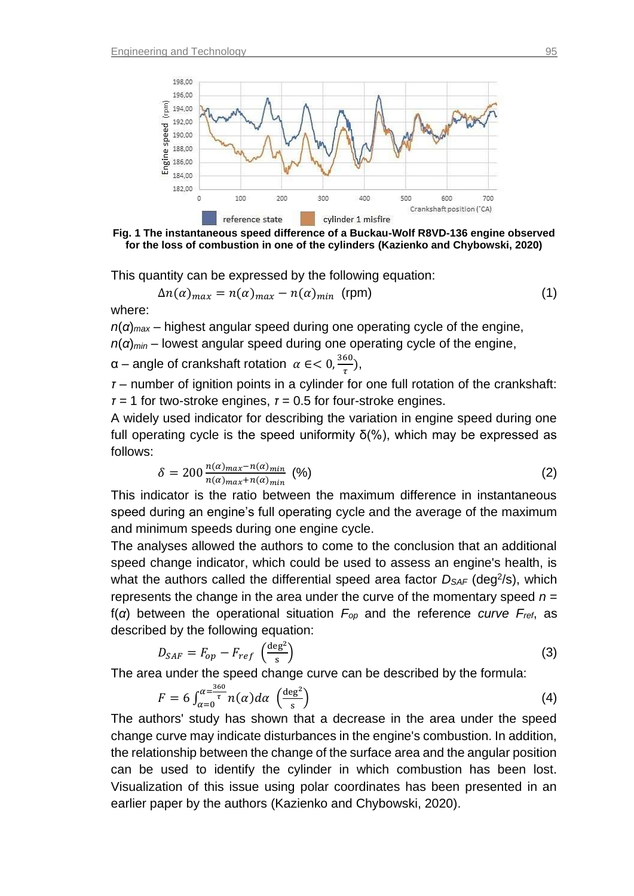



This quantity can be expressed by the following equation:

$$
\Delta n(\alpha)_{max} = n(\alpha)_{max} - n(\alpha)_{min} \text{ (rpm)}
$$
 (1)

where:

*n*(*α*)*max –* highest angular speed during one operating cycle of the engine, *n*(*α*)*min –* lowest angular speed during one operating cycle of the engine,

 $\alpha$  – angle of crankshaft rotation α ∈ < 0,  $\frac{360}{5}$  $\frac{\partial U}{\partial t}$ ,

*τ* – number of ignition points in a cylinder for one full rotation of the crankshaft: *τ =* 1 for two-stroke engines, *τ* = 0.5 for four-stroke engines.

A widely used indicator for describing the variation in engine speed during one full operating cycle is the speed uniformity δ(%), which may be expressed as follows:

$$
\delta = 200 \frac{n(\alpha)_{max} - n(\alpha)_{min}}{n(\alpha)_{max} + n(\alpha)_{min}} \tag{2}
$$

This indicator is the ratio between the maximum difference in instantaneous speed during an engine's full operating cycle and the average of the maximum and minimum speeds during one engine cycle.

The analyses allowed the authors to come to the conclusion that an additional speed change indicator, which could be used to assess an engine's health, is what the authors called the differential speed area factor  $D_{SAF}$  (deg<sup>2</sup>/s), which represents the change in the area under the curve of the momentary speed *n* = f(*α*) between the operational situation *Fop* and the reference *curve Fref*, as described by the following equation:

$$
D_{SAF} = F_{op} - F_{ref} \left(\frac{\text{deg}^2}{\text{s}}\right) \tag{3}
$$

The area under the speed change curve can be described by the formula:

$$
F = 6 \int_{\alpha=0}^{\alpha=\frac{360}{\tau}} n(\alpha) d\alpha \, \left(\frac{\deg^2}{s}\right) \tag{4}
$$

The authors' study has shown that a decrease in the area under the speed change curve may indicate disturbances in the engine's combustion. In addition, the relationship between the change of the surface area and the angular position can be used to identify the cylinder in which combustion has been lost. Visualization of this issue using polar coordinates has been presented in an earlier paper by the authors (Kazienko and Chybowski, 2020).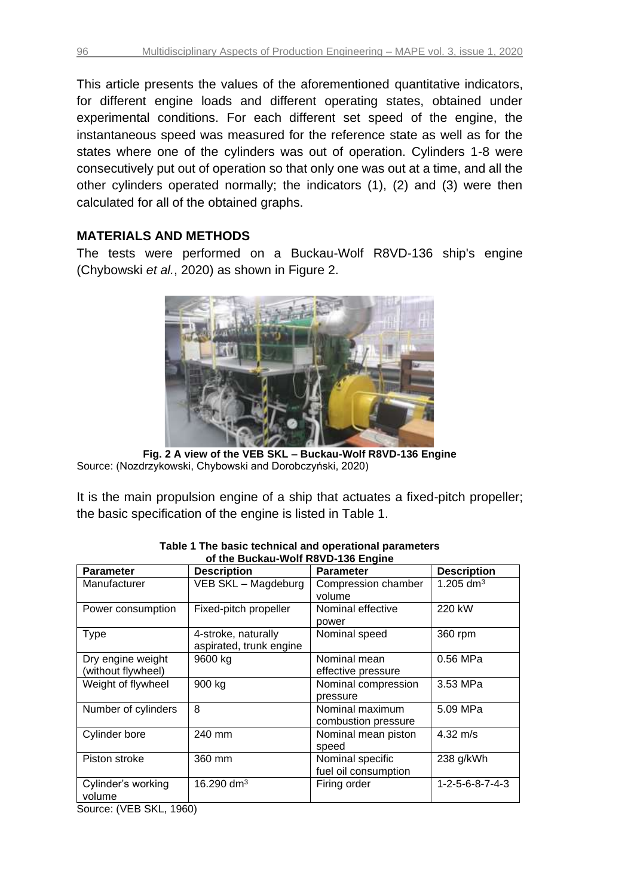This article presents the values of the aforementioned quantitative indicators, for different engine loads and different operating states, obtained under experimental conditions. For each different set speed of the engine, the instantaneous speed was measured for the reference state as well as for the states where one of the cylinders was out of operation. Cylinders 1-8 were consecutively put out of operation so that only one was out at a time, and all the other cylinders operated normally; the indicators (1), (2) and (3) were then calculated for all of the obtained graphs.

## **MATERIALS AND METHODS**

The tests were performed on a Buckau-Wolf R8VD-136 ship's engine (Chybowski *et al.*, 2020) as shown in Figure 2.



**Fig. 2 A view of the VEB SKL – Buckau-Wolf R8VD-136 Engine** Source: (Nozdrzykowski, Chybowski and Dorobczyński, 2020)

It is the main propulsion engine of a ship that actuates a fixed-pitch propeller; the basic specification of the engine is listed in Table 1.

| <b>Parameter</b>                                                          | <b>Description</b>                             | <b>Parameter</b>                         | <b>Description</b>    |
|---------------------------------------------------------------------------|------------------------------------------------|------------------------------------------|-----------------------|
| Manufacturer                                                              | VEB SKL - Magdeburg                            | Compression chamber<br>volume            | 1.205 dm <sup>3</sup> |
| Power consumption                                                         | Fixed-pitch propeller                          | Nominal effective<br>power               | 220 kW                |
| <b>Type</b>                                                               | 4-stroke, naturally<br>aspirated, trunk engine | Nominal speed                            | 360 rpm               |
| Dry engine weight<br>(without flywheel)                                   | 9600 kg                                        | Nominal mean<br>effective pressure       | 0.56 MPa              |
| Weight of flywheel                                                        | 900 kg                                         | Nominal compression<br>pressure          | 3.53 MPa              |
| Number of cylinders                                                       | 8                                              | Nominal maximum<br>combustion pressure   | 5.09 MPa              |
| Cylinder bore                                                             | 240 mm                                         | Nominal mean piston<br>speed             | $4.32 \; \text{m/s}$  |
| Piston stroke                                                             | 360 mm                                         | Nominal specific<br>fuel oil consumption | 238 g/kWh             |
| Cylinder's working<br>volume<br>$C_{\text{OUTCO}}$ ( $VED$ $CVI$<br>10601 | 16.290 dm <sup>3</sup>                         | Firing order                             | 1-2-5-6-8-7-4-3       |

| Table 1 The basic technical and operational parameters |  |  |  |  |  |
|--------------------------------------------------------|--|--|--|--|--|
| of the Buckau-Wolf R8VD-136 Engine                     |  |  |  |  |  |

Source: (VEB SKL, 1960)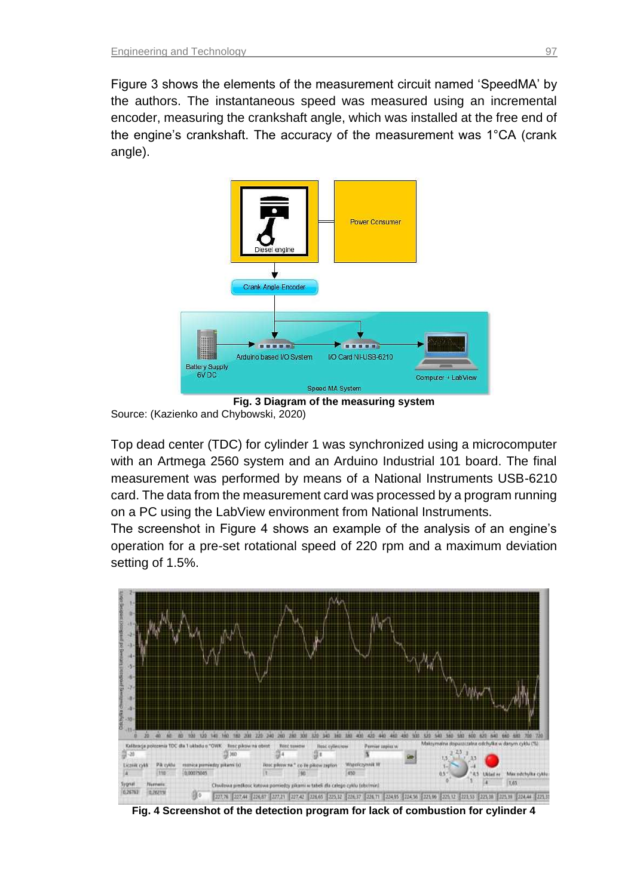Figure 3 shows the elements of the measurement circuit named 'SpeedMA' by the authors. The instantaneous speed was measured using an incremental encoder, measuring the crankshaft angle, which was installed at the free end of the engine's crankshaft. The accuracy of the measurement was 1°CA (crank angle).



**Fig. 3 Diagram of the measuring system**  Source: (Kazienko and Chybowski, 2020)

Top dead center (TDC) for cylinder 1 was synchronized using a microcomputer with an Artmega 2560 system and an Arduino Industrial 101 board. The final measurement was performed by means of a National Instruments USB-6210 card. The data from the measurement card was processed by a program running on a PC using the LabView environment from National Instruments.

The screenshot in Figure 4 shows an example of the analysis of an engine's operation for a pre-set rotational speed of 220 rpm and a maximum deviation setting of 1.5%.



**Fig. 4 Screenshot of the detection program for lack of combustion for cylinder 4**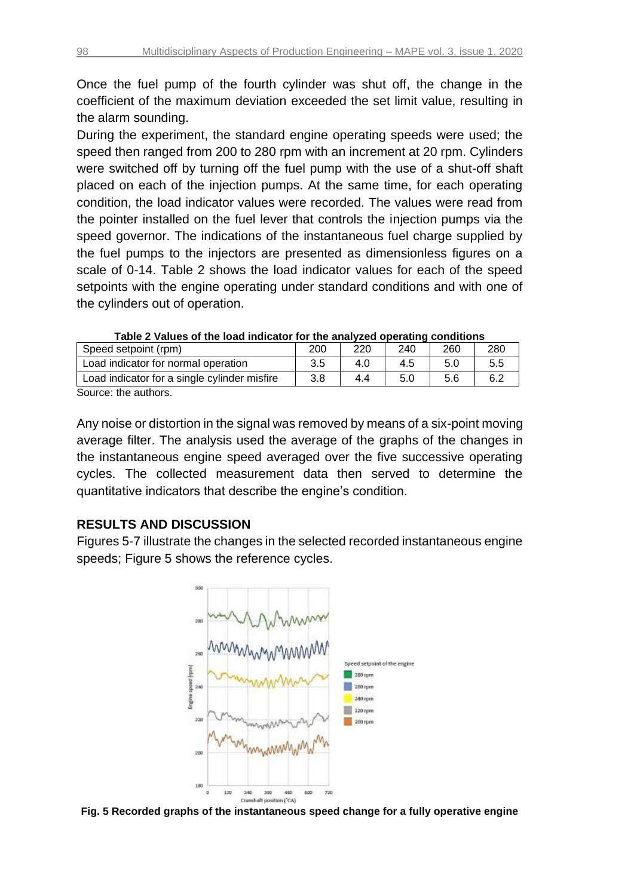Once the fuel pump of the fourth cylinder was shut off, the change in the coefficient of the maximum deviation exceeded the set limit value, resulting in the alarm sounding.

During the experiment, the standard engine operating speeds were used; the speed then ranged from 200 to 280 rpm with an increment at 20 rpm. Cylinders were switched off by turning off the fuel pump with the use of a shut-off shaft placed on each of the injection pumps. At the same time, for each operating condition, the load indicator values were recorded. The values were read from the pointer installed on the fuel lever that controls the injection pumps via the speed governor. The indications of the instantaneous fuel charge supplied by the fuel pumps to the injectors are presented as dimensionless figures on a scale of 0-14. Table 2 shows the load indicator values for each of the speed setpoints with the engine operating under standard conditions and with one of the cylinders out of operation.

| Table 2 Values of the load multatur for the analyzed operating conditions |     |     |     |     |     |  |
|---------------------------------------------------------------------------|-----|-----|-----|-----|-----|--|
| Speed setpoint (rpm)                                                      | 200 | 220 | 240 | 260 | 280 |  |
| Load indicator for normal operation                                       | 3.5 | 4.0 | 4.5 | 5.0 | 5.5 |  |
| Load indicator for a single cylinder misfire                              | 3.8 | 4.4 | 5.0 | 5.6 | 6.2 |  |
| Source: the authors                                                       |     |     |     |     |     |  |

| Table 2 Values of the load indicator for the analyzed operating conditions |  |  |  |
|----------------------------------------------------------------------------|--|--|--|
|----------------------------------------------------------------------------|--|--|--|

Source: the authors.

Any noise or distortion in the signal was removed by means of a six-point moving average filter. The analysis used the average of the graphs of the changes in the instantaneous engine speed averaged over the five successive operating cycles. The collected measurement data then served to determine the quantitative indicators that describe the engine's condition.

### **RESULTS AND DISCUSSION**

Figures 5-7 illustrate the changes in the selected recorded instantaneous engine speeds; Figure 5 shows the reference cycles.



**Fig. 5 Recorded graphs of the instantaneous speed change for a fully operative engine**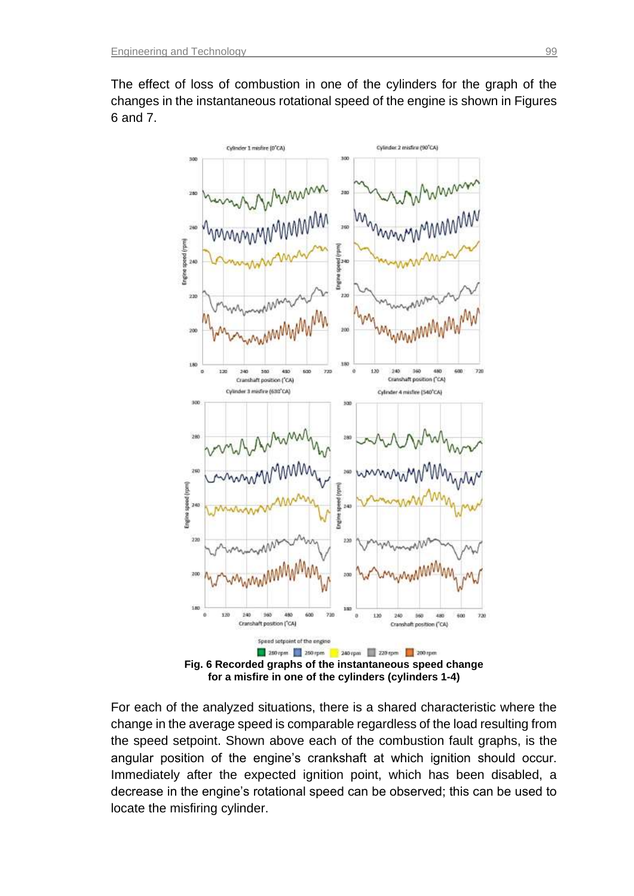

The effect of loss of combustion in one of the cylinders for the graph of the changes in the instantaneous rotational speed of the engine is shown in Figures 6 and 7.

For each of the analyzed situations, there is a shared characteristic where the change in the average speed is comparable regardless of the load resulting from the speed setpoint. Shown above each of the combustion fault graphs, is the angular position of the engine's crankshaft at which ignition should occur. Immediately after the expected ignition point, which has been disabled, a decrease in the engine's rotational speed can be observed; this can be used to locate the misfiring cylinder.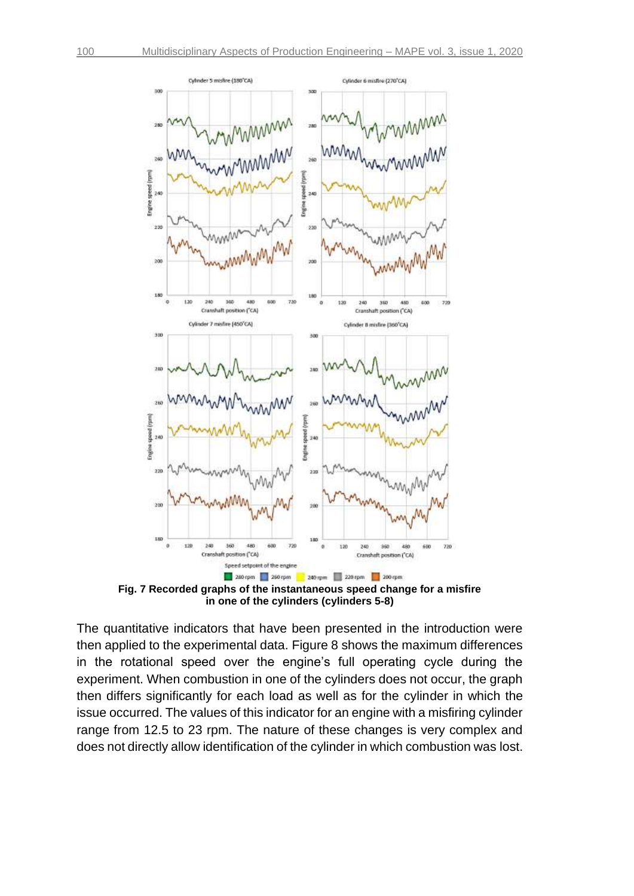

**Fig. 7 Recorded graphs of the instantaneous speed change for a misfire in one of the cylinders (cylinders 5-8)**

The quantitative indicators that have been presented in the introduction were then applied to the experimental data. Figure 8 shows the maximum differences in the rotational speed over the engine's full operating cycle during the experiment. When combustion in one of the cylinders does not occur, the graph then differs significantly for each load as well as for the cylinder in which the issue occurred. The values of this indicator for an engine with a misfiring cylinder range from 12.5 to 23 rpm. The nature of these changes is very complex and does not directly allow identification of the cylinder in which combustion was lost.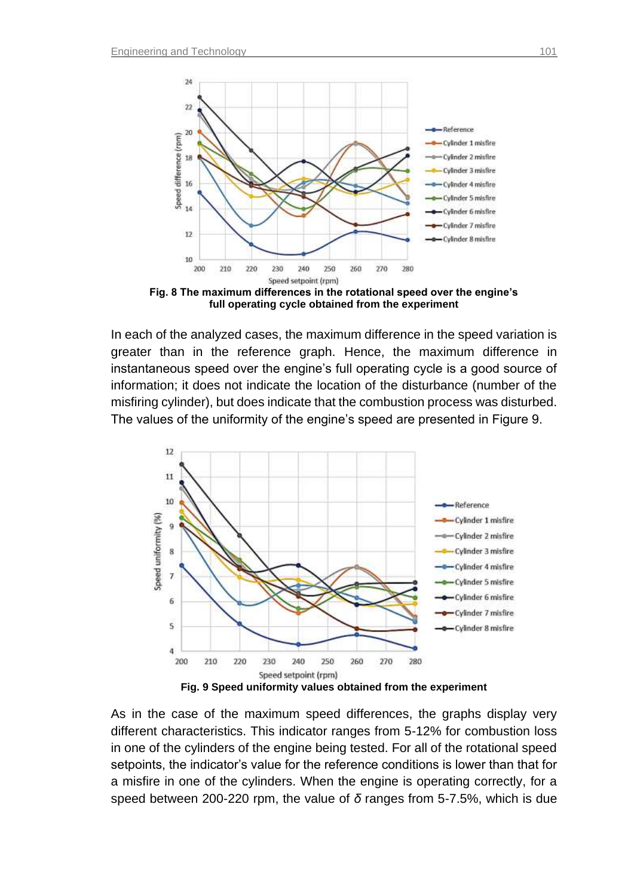

**Fig. 8 The maximum differences in the rotational speed over the engine's full operating cycle obtained from the experiment**

In each of the analyzed cases, the maximum difference in the speed variation is greater than in the reference graph. Hence, the maximum difference in instantaneous speed over the engine's full operating cycle is a good source of information; it does not indicate the location of the disturbance (number of the misfiring cylinder), but does indicate that the combustion process was disturbed. The values of the uniformity of the engine's speed are presented in Figure 9.



As in the case of the maximum speed differences, the graphs display very different characteristics. This indicator ranges from 5-12% for combustion loss in one of the cylinders of the engine being tested. For all of the rotational speed setpoints, the indicator's value for the reference conditions is lower than that for a misfire in one of the cylinders. When the engine is operating correctly, for a speed between 200-220 rpm, the value of *δ* ranges from 5-7.5%, which is due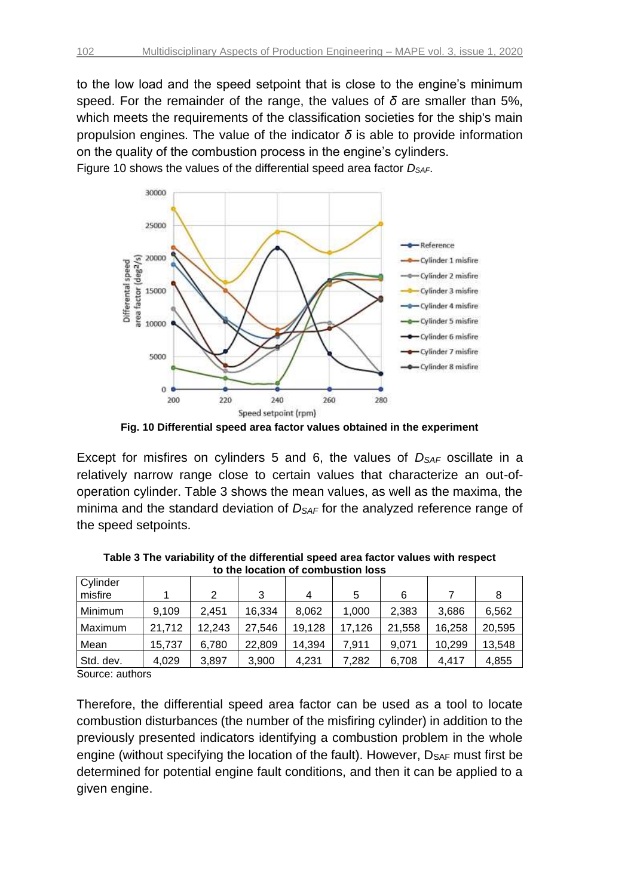to the low load and the speed setpoint that is close to the engine's minimum speed. For the remainder of the range, the values of *δ* are smaller than 5%, which meets the requirements of the classification societies for the ship's main propulsion engines. The value of the indicator *δ* is able to provide information on the quality of the combustion process in the engine's cylinders. Figure 10 shows the values of the differential speed area factor *DSAF*.



**Fig. 10 Differential speed area factor values obtained in the experiment** 

Except for misfires on cylinders 5 and 6, the values of *DSAF* oscillate in a relatively narrow range close to certain values that characterize an out-ofoperation cylinder. Table 3 shows the mean values, as well as the maxima, the minima and the standard deviation of *DSAF* for the analyzed reference range of the speed setpoints.

| Cylinder  |        |        |        |        |        |        |        |        |
|-----------|--------|--------|--------|--------|--------|--------|--------|--------|
| misfire   |        | 2      | 3      | 4      | 5      | 6      |        |        |
| Minimum   | 9,109  | 2.451  | 16,334 | 8.062  | 1,000  | 2,383  | 3,686  | 6,562  |
| Maximum   | 21,712 | 12,243 | 27,546 | 19,128 | 17,126 | 21,558 | 16,258 | 20,595 |
| Mean      | 15,737 | 6,780  | 22,809 | 14,394 | 7.911  | 9.071  | 10,299 | 13,548 |
| Std. dev. | 4.029  | 3.897  | 3,900  | 4,231  | 7.282  | 6,708  | 4.417  | 4,855  |

**Table 3 The variability of the differential speed area factor values with respect to the location of combustion loss**

Source: authors

Therefore, the differential speed area factor can be used as a tool to locate combustion disturbances (the number of the misfiring cylinder) in addition to the previously presented indicators identifying a combustion problem in the whole engine (without specifying the location of the fault). However, DSAF must first be determined for potential engine fault conditions, and then it can be applied to a given engine.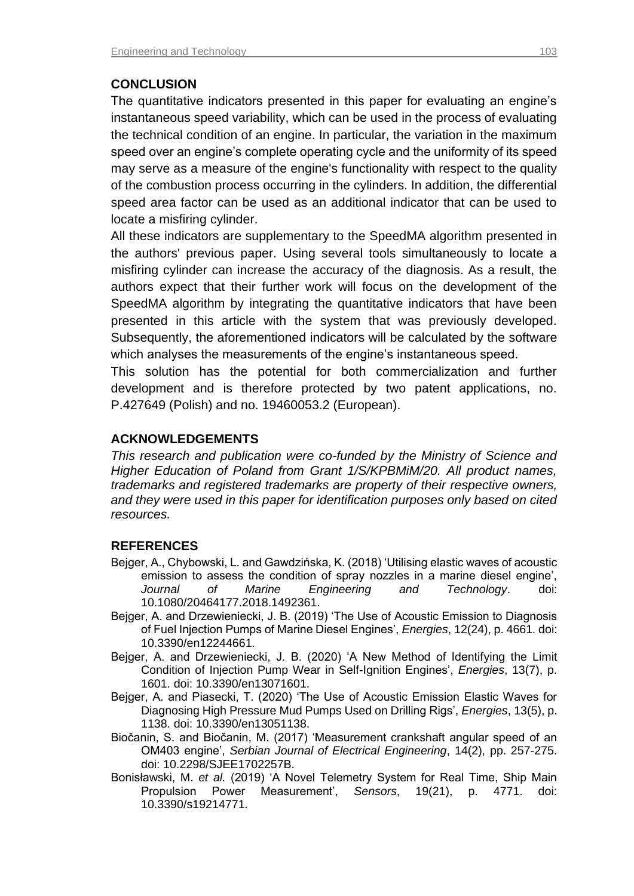# **CONCLUSION**

The quantitative indicators presented in this paper for evaluating an engine's instantaneous speed variability, which can be used in the process of evaluating the technical condition of an engine. In particular, the variation in the maximum speed over an engine's complete operating cycle and the uniformity of its speed may serve as a measure of the engine's functionality with respect to the quality of the combustion process occurring in the cylinders. In addition, the differential speed area factor can be used as an additional indicator that can be used to locate a misfiring cylinder.

All these indicators are supplementary to the SpeedMA algorithm presented in the authors' previous paper. Using several tools simultaneously to locate a misfiring cylinder can increase the accuracy of the diagnosis. As a result, the authors expect that their further work will focus on the development of the SpeedMA algorithm by integrating the quantitative indicators that have been presented in this article with the system that was previously developed. Subsequently, the aforementioned indicators will be calculated by the software which analyses the measurements of the engine's instantaneous speed.

This solution has the potential for both commercialization and further development and is therefore protected by two patent applications, no. P.427649 (Polish) and no. 19460053.2 (European).

## **ACKNOWLEDGEMENTS**

*This research and publication were co-funded by the Ministry of Science and Higher Education of Poland from Grant 1/S/KPBMiM/20. All product names, trademarks and registered trademarks are property of their respective owners, and they were used in this paper for identification purposes only based on cited resources.*

## **REFERENCES**

- Bejger, A., Chybowski, L. and Gawdzińska, K. (2018) 'Utilising elastic waves of acoustic emission to assess the condition of spray nozzles in a marine diesel engine', *Journal of Marine Engineering and Technology*. doi: 10.1080/20464177.2018.1492361.
- Bejger, A. and Drzewieniecki, J. B. (2019) 'The Use of Acoustic Emission to Diagnosis of Fuel Injection Pumps of Marine Diesel Engines', *Energies*, 12(24), p. 4661. doi: 10.3390/en12244661.
- Bejger, A. and Drzewieniecki, J. B. (2020) 'A New Method of Identifying the Limit Condition of Injection Pump Wear in Self-Ignition Engines', *Energies*, 13(7), p. 1601. doi: 10.3390/en13071601.
- Bejger, A. and Piasecki, T. (2020) 'The Use of Acoustic Emission Elastic Waves for Diagnosing High Pressure Mud Pumps Used on Drilling Rigs', *Energies*, 13(5), p. 1138. doi: 10.3390/en13051138.
- Biočanin, S. and Biočanin, M. (2017) 'Measurement crankshaft angular speed of an OM403 engine', *Serbian Journal of Electrical Engineering*, 14(2), pp. 257-275. doi: 10.2298/SJEE1702257B.
- Bonisławski, M. *et al.* (2019) 'A Novel Telemetry System for Real Time, Ship Main Propulsion Power Measurement', *Sensors*, 19(21), p. 4771. doi: 10.3390/s19214771.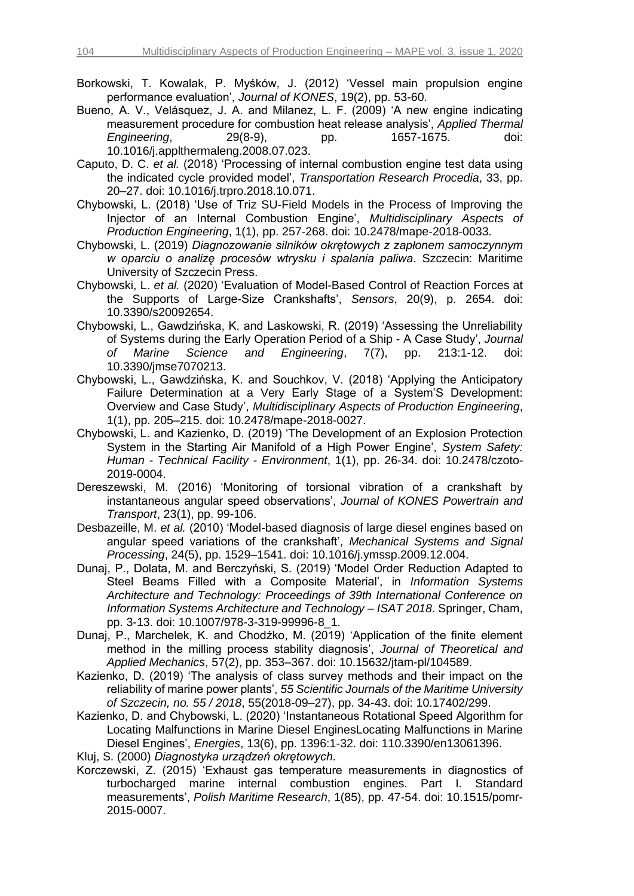- Borkowski, T. Kowalak, P. Myśków, J. (2012) 'Vessel main propulsion engine performance evaluation', *Journal of KONES*, 19(2), pp. 53-60.
- Bueno, A. V., Velásquez, J. A. and Milanez, L. F. (2009) 'A new engine indicating measurement procedure for combustion heat release analysis', *Applied Thermal Engineering*, 29(8-9), pp. 1657-1675. doi: 10.1016/j.applthermaleng.2008.07.023.
- Caputo, D. C. *et al.* (2018) 'Processing of internal combustion engine test data using the indicated cycle provided model', *Transportation Research Procedia*, 33, pp. 20–27. doi: 10.1016/j.trpro.2018.10.071.
- Chybowski, L. (2018) 'Use of Triz SU-Field Models in the Process of Improving the Injector of an Internal Combustion Engine', *Multidisciplinary Aspects of Production Engineering*, 1(1), pp. 257-268. doi: 10.2478/mape-2018-0033.
- Chybowski, L. (2019) *Diagnozowanie silników okrętowych z zapłonem samoczynnym w oparciu o analizę procesów wtrysku i spalania paliwa*. Szczecin: Maritime University of Szczecin Press.
- Chybowski, L. *et al.* (2020) 'Evaluation of Model-Based Control of Reaction Forces at the Supports of Large-Size Crankshafts', *Sensors*, 20(9), p. 2654. doi: 10.3390/s20092654.
- Chybowski, L., Gawdzińska, K. and Laskowski, R. (2019) 'Assessing the Unreliability of Systems during the Early Operation Period of a Ship - A Case Study', *Journal of Marine Science and Engineering*, 7(7), pp. 213:1-12. doi: 10.3390/jmse7070213.
- Chybowski, L., Gawdzińska, K. and Souchkov, V. (2018) 'Applying the Anticipatory Failure Determination at a Very Early Stage of a System'S Development: Overview and Case Study', *Multidisciplinary Aspects of Production Engineering*, 1(1), pp. 205–215. doi: 10.2478/mape-2018-0027.
- Chybowski, L. and Kazienko, D. (2019) 'The Development of an Explosion Protection System in the Starting Air Manifold of a High Power Engine', *System Safety: Human - Technical Facility - Environment*, 1(1), pp. 26-34. doi: 10.2478/czoto-2019-0004.
- Dereszewski, M. (2016) 'Monitoring of torsional vibration of a crankshaft by instantaneous angular speed observations', *Journal of KONES Powertrain and Transport*, 23(1), pp. 99-106.
- Desbazeille, M. *et al.* (2010) 'Model-based diagnosis of large diesel engines based on angular speed variations of the crankshaft', *Mechanical Systems and Signal Processing*, 24(5), pp. 1529–1541. doi: 10.1016/j.ymssp.2009.12.004.
- Dunaj, P., Dolata, M. and Berczyński, S. (2019) 'Model Order Reduction Adapted to Steel Beams Filled with a Composite Material', in *Information Systems Architecture and Technology: Proceedings of 39th International Conference on Information Systems Architecture and Technology – ISAT 2018*. Springer, Cham, pp. 3-13. doi: 10.1007/978-3-319-99996-8\_1.
- Dunaj, P., Marchelek, K. and Chodźko, M. (2019) 'Application of the finite element method in the milling process stability diagnosis', *Journal of Theoretical and Applied Mechanics*, 57(2), pp. 353–367. doi: 10.15632/jtam-pl/104589.
- Kazienko, D. (2019) 'The analysis of class survey methods and their impact on the reliability of marine power plants', *55 Scientific Journals of the Maritime University of Szczecin, no. 55 / 2018*, 55(2018-09–27), pp. 34-43. doi: 10.17402/299.
- Kazienko, D. and Chybowski, L. (2020) 'Instantaneous Rotational Speed Algorithm for Locating Malfunctions in Marine Diesel EnginesLocating Malfunctions in Marine Diesel Engines', *Energies*, 13(6), pp. 1396:1-32. doi: 110.3390/en13061396.
- Kluj, S. (2000) *Diagnostyka urządzeń okrętowych*.
- Korczewski, Z. (2015) 'Exhaust gas temperature measurements in diagnostics of turbocharged marine internal combustion engines. Part I. Standard measurements', *Polish Maritime Research*, 1(85), pp. 47-54. doi: 10.1515/pomr-2015-0007.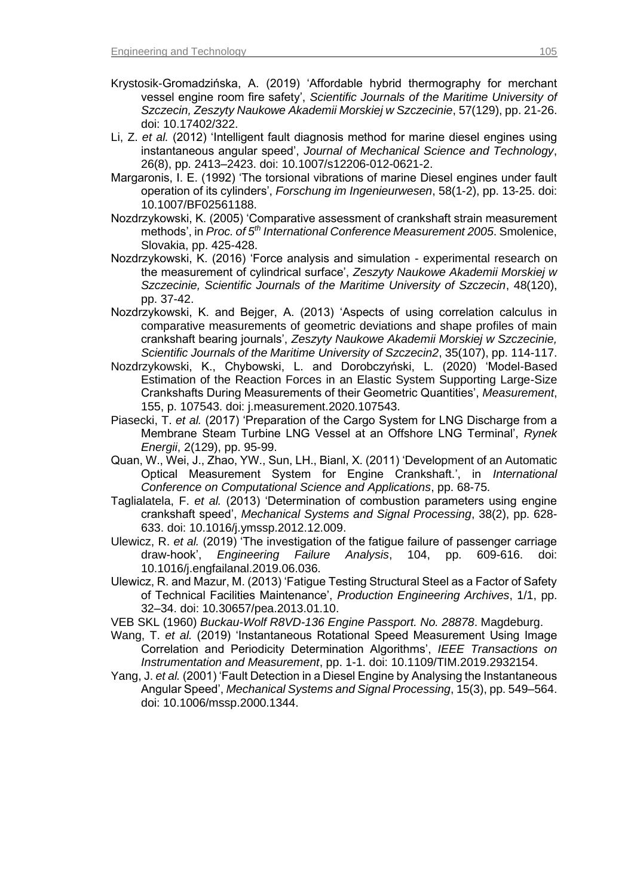- Krystosik-Gromadzińska, A. (2019) 'Affordable hybrid thermography for merchant vessel engine room fire safety', *Scientific Journals of the Maritime University of Szczecin, Zeszyty Naukowe Akademii Morskiej w Szczecinie*, 57(129), pp. 21-26. doi: 10.17402/322.
- Li, Z. *et al.* (2012) 'Intelligent fault diagnosis method for marine diesel engines using instantaneous angular speed', *Journal of Mechanical Science and Technology*, 26(8), pp. 2413–2423. doi: 10.1007/s12206-012-0621-2.
- Margaronis, I. E. (1992) 'The torsional vibrations of marine Diesel engines under fault operation of its cylinders', *Forschung im Ingenieurwesen*, 58(1-2), pp. 13-25. doi: 10.1007/BF02561188.
- Nozdrzykowski, K. (2005) 'Comparative assessment of crankshaft strain measurement methods', in *Proc. of 5th International Conference Measurement 2005*. Smolenice, Slovakia, pp. 425-428.
- Nozdrzykowski, K. (2016) 'Force analysis and simulation experimental research on the measurement of cylindrical surface', *Zeszyty Naukowe Akademii Morskiej w Szczecinie, Scientific Journals of the Maritime University of Szczecin*, 48(120), pp. 37-42.
- Nozdrzykowski, K. and Bejger, A. (2013) 'Aspects of using correlation calculus in comparative measurements of geometric deviations and shape profiles of main crankshaft bearing journals', *Zeszyty Naukowe Akademii Morskiej w Szczecinie, Scientific Journals of the Maritime University of Szczecin2*, 35(107), pp. 114-117.
- Nozdrzykowski, K., Chybowski, L. and Dorobczyński, L. (2020) 'Model-Based Estimation of the Reaction Forces in an Elastic System Supporting Large-Size Crankshafts During Measurements of their Geometric Quantities', *Measurement*, 155, p. 107543. doi: j.measurement.2020.107543.
- Piasecki, T. *et al.* (2017) 'Preparation of the Cargo System for LNG Discharge from a Membrane Steam Turbine LNG Vessel at an Offshore LNG Terminal', *Rynek Energii*, 2(129), pp. 95-99.
- Quan, W., Wei, J., Zhao, YW., Sun, LH., Bianl, X. (2011) 'Development of an Automatic Optical Measurement System for Engine Crankshaft.', in *International Conference on Computational Science and Applications*, pp. 68-75.
- Taglialatela, F. *et al.* (2013) 'Determination of combustion parameters using engine crankshaft speed', *Mechanical Systems and Signal Processing*, 38(2), pp. 628- 633. doi: 10.1016/j.ymssp.2012.12.009.
- Ulewicz, R. *et al.* (2019) 'The investigation of the fatigue failure of passenger carriage draw-hook', *Engineering Failure Analysis*, 104, pp. 609-616. doi: 10.1016/j.engfailanal.2019.06.036.
- Ulewicz, R. and Mazur, M. (2013) 'Fatigue Testing Structural Steel as a Factor of Safety of Technical Facilities Maintenance', *Production Engineering Archives*, 1/1, pp. 32–34. doi: 10.30657/pea.2013.01.10.
- VEB SKL (1960) *Buckau-Wolf R8VD-136 Engine Passport. No. 28878*. Magdeburg.
- Wang, T. *et al.* (2019) 'Instantaneous Rotational Speed Measurement Using Image Correlation and Periodicity Determination Algorithms', *IEEE Transactions on Instrumentation and Measurement*, pp. 1-1. doi: 10.1109/TIM.2019.2932154.
- Yang, J. *et al.* (2001) 'Fault Detection in a Diesel Engine by Analysing the Instantaneous Angular Speed', *Mechanical Systems and Signal Processing*, 15(3), pp. 549–564. doi: 10.1006/mssp.2000.1344.